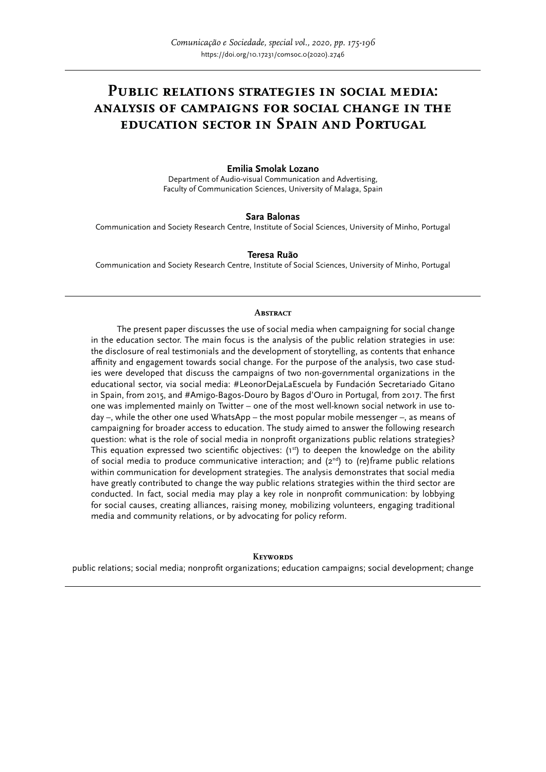# **Public relations strategies in social media: analysis of campaigns for social change in the education sector in Spain and Portugal**

### **Emilia Smolak Lozano**

Department of Audio-visual Communication and Advertising, Faculty of Communication Sciences, University of Malaga, Spain

### **Sara Balonas**

Communication and Society Research Centre, Institute of Social Sciences, University of Minho, Portugal

#### **Teresa Ruão**

Communication and Society Research Centre, Institute of Social Sciences, University of Minho, Portugal

#### **Abstract**

The present paper discusses the use of social media when campaigning for social change in the education sector. The main focus is the analysis of the public relation strategies in use: the disclosure of real testimonials and the development of storytelling, as contents that enhance affinity and engagement towards social change. For the purpose of the analysis, two case studies were developed that discuss the campaigns of two non-governmental organizations in the educational sector, via social media: #LeonorDejaLaEscuela by Fundación Secretariado Gitano in Spain, from 2015, and #Amigo-Bagos-Douro by Bagos d'Ouro in Portugal*,* from 2017. The first one was implemented mainly on Twitter – one of the most well-known social network in use today –, while the other one used WhatsApp – the most popular mobile messenger –, as means of campaigning for broader access to education. The study aimed to answer the following research question: what is the role of social media in nonprofit organizations public relations strategies? This equation expressed two scientific objectives:  $(1^{st})$  to deepen the knowledge on the ability of social media to produce communicative interaction; and  $(2^{nd})$  to (re)frame public relations within communication for development strategies. The analysis demonstrates that social media have greatly contributed to change the way public relations strategies within the third sector are conducted. In fact, social media may play a key role in nonprofit communication: by lobbying for social causes, creating alliances, raising money, mobilizing volunteers, engaging traditional media and community relations, or by advocating for policy reform.

#### **Keywords**

public relations; social media; nonprofit organizations; education campaigns; social development; change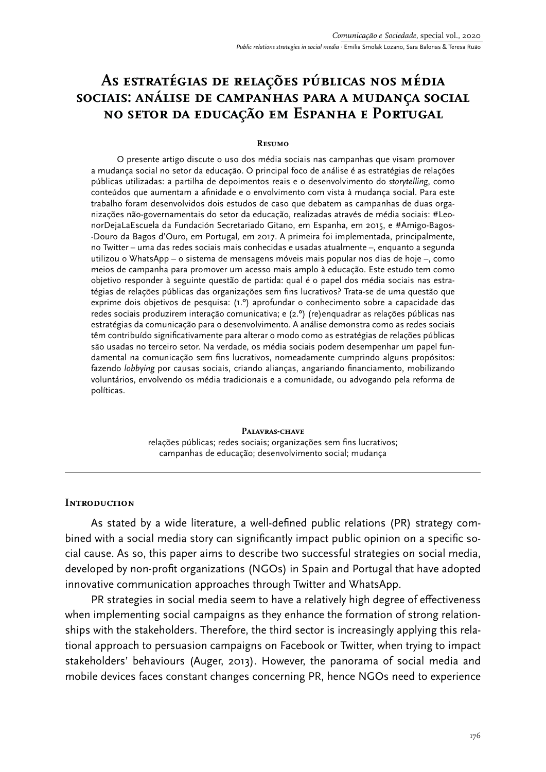# **As estratégias de relações públicas nos média sociais: análise de campanhas para a mudança social no setor da educação em Espanha e Portugal**

### **Resumo**

O presente artigo discute o uso dos média sociais nas campanhas que visam promover a mudança social no setor da educação. O principal foco de análise é as estratégias de relações públicas utilizadas: a partilha de depoimentos reais e o desenvolvimento do *storytelling*, como conteúdos que aumentam a afinidade e o envolvimento com vista à mudança social. Para este trabalho foram desenvolvidos dois estudos de caso que debatem as campanhas de duas organizações não-governamentais do setor da educação, realizadas através de média sociais: #LeonorDejaLaEscuela da Fundación Secretariado Gitano, em Espanha, em 2015, e #Amigo-Bagos- -Douro da Bagos d'Ouro, em Portugal*,* em 2017. A primeira foi implementada, principalmente, no Twitter – uma das redes sociais mais conhecidas e usadas atualmente –, enquanto a segunda utilizou o WhatsApp – o sistema de mensagens móveis mais popular nos dias de hoje –, como meios de campanha para promover um acesso mais amplo à educação. Este estudo tem como objetivo responder à seguinte questão de partida: qual é o papel dos média sociais nas estratégias de relações públicas das organizações sem fins lucrativos? Trata-se de uma questão que exprime dois objetivos de pesquisa: (1.º) aprofundar o conhecimento sobre a capacidade das redes sociais produzirem interação comunicativa; e (2.º) (re)enquadrar as relações públicas nas estratégias da comunicação para o desenvolvimento. A análise demonstra como as redes sociais têm contribuído significativamente para alterar o modo como as estratégias de relações públicas são usadas no terceiro setor. Na verdade, os média sociais podem desempenhar um papel fundamental na comunicação sem fins lucrativos, nomeadamente cumprindo alguns propósitos: fazendo *lobbying* por causas sociais, criando alianças, angariando financiamento, mobilizando voluntários, envolvendo os média tradicionais e a comunidade, ou advogando pela reforma de políticas.

> **Palavras-chave** relações públicas; redes sociais; organizações sem fins lucrativos; campanhas de educação; desenvolvimento social; mudança

### **Introduction**

As stated by a wide literature, a well-defined public relations (PR) strategy combined with a social media story can significantly impact public opinion on a specific social cause. As so, this paper aims to describe two successful strategies on social media, developed by non-profit organizations (NGOs) in Spain and Portugal that have adopted innovative communication approaches through Twitter and WhatsApp.

PR strategies in social media seem to have a relatively high degree of effectiveness when implementing social campaigns as they enhance the formation of strong relationships with the stakeholders. Therefore, the third sector is increasingly applying this relational approach to persuasion campaigns on Facebook or Twitter, when trying to impact stakeholders' behaviours (Auger, 2013). However, the panorama of social media and mobile devices faces constant changes concerning PR, hence NGOs need to experience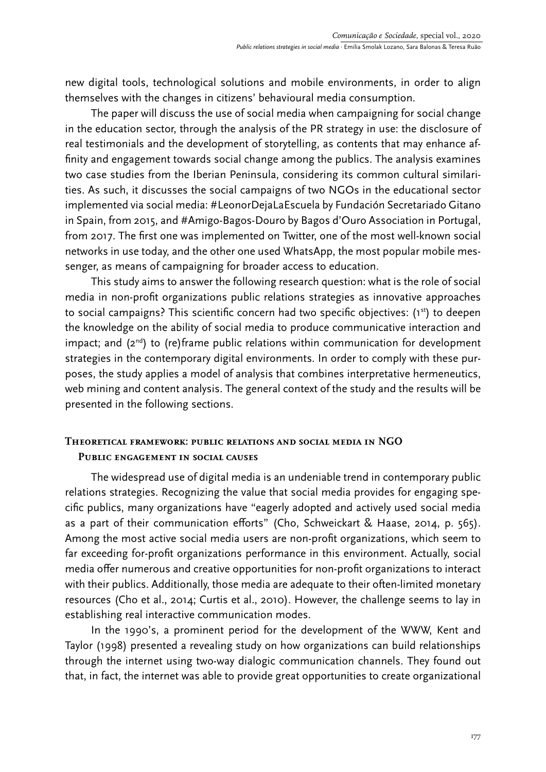new digital tools, technological solutions and mobile environments, in order to align themselves with the changes in citizens' behavioural media consumption.

The paper will discuss the use of social media when campaigning for social change in the education sector, through the analysis of the PR strategy in use: the disclosure of real testimonials and the development of storytelling, as contents that may enhance affinity and engagement towards social change among the publics. The analysis examines two case studies from the Iberian Peninsula, considering its common cultural similarities. As such, it discusses the social campaigns of two NGOs in the educational sector implemented via social media: #LeonorDejaLaEscuela by Fundación Secretariado Gitano in Spain, from 2015, and #Amigo-Bagos-Douro by Bagos d'Ouro Association in Portugal, from 2017. The first one was implemented on Twitter, one of the most well-known social networks in use today, and the other one used WhatsApp, the most popular mobile messenger, as means of campaigning for broader access to education.

This study aims to answer the following research question: what is the role of social media in non-profit organizations public relations strategies as innovative approaches to social campaigns? This scientific concern had two specific objectives: (1st) to deepen the knowledge on the ability of social media to produce communicative interaction and impact; and  $(2^{nd})$  to (re)frame public relations within communication for development strategies in the contemporary digital environments. In order to comply with these purposes, the study applies a model of analysis that combines interpretative hermeneutics, web mining and content analysis. The general context of the study and the results will be presented in the following sections.

# **Theoretical framework: public relations and social media in NGO Public engagement in social causes**

The widespread use of digital media is an undeniable trend in contemporary public relations strategies. Recognizing the value that social media provides for engaging specific publics, many organizations have "eagerly adopted and actively used social media as a part of their communication efforts" (Cho, Schweickart & Haase, 2014, p. 565). Among the most active social media users are non-profit organizations, which seem to far exceeding for-profit organizations performance in this environment. Actually, social media offer numerous and creative opportunities for non-profit organizations to interact with their publics. Additionally, those media are adequate to their often-limited monetary resources (Cho et al., 2014; Curtis et al., 2010). However, the challenge seems to lay in establishing real interactive communication modes.

In the 1990's, a prominent period for the development of the WWW, Kent and Taylor (1998) presented a revealing study on how organizations can build relationships through the internet using two-way dialogic communication channels. They found out that, in fact, the internet was able to provide great opportunities to create organizational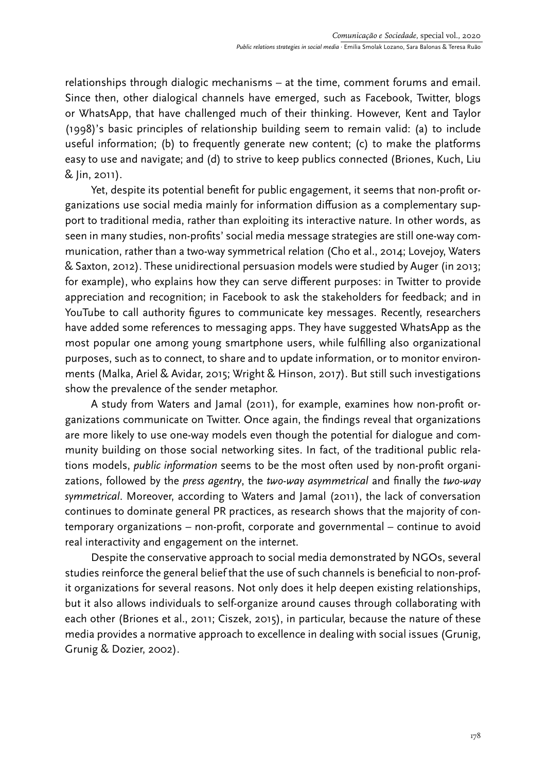relationships through dialogic mechanisms – at the time, comment forums and email. Since then, other dialogical channels have emerged, such as Facebook, Twitter, blogs or WhatsApp, that have challenged much of their thinking. However, Kent and Taylor (1998)'s basic principles of relationship building seem to remain valid: (a) to include useful information; (b) to frequently generate new content; (c) to make the platforms easy to use and navigate; and (d) to strive to keep publics connected (Briones, Kuch, Liu & Jin, 2011).

Yet, despite its potential benefit for public engagement, it seems that non-profit organizations use social media mainly for information diffusion as a complementary support to traditional media, rather than exploiting its interactive nature. In other words, as seen in many studies, non-profits' social media message strategies are still one-way communication, rather than a two-way symmetrical relation (Cho et al., 2014; Lovejoy, Waters & Saxton, 2012). These unidirectional persuasion models were studied by Auger (in 2013; for example), who explains how they can serve different purposes: in Twitter to provide appreciation and recognition; in Facebook to ask the stakeholders for feedback; and in YouTube to call authority figures to communicate key messages. Recently, researchers have added some references to messaging apps. They have suggested WhatsApp as the most popular one among young smartphone users, while fulfilling also organizational purposes, such as to connect, to share and to update information, or to monitor environments (Malka, Ariel & Avidar, 2015; Wright & Hinson, 2017). But still such investigations show the prevalence of the sender metaphor.

A study from Waters and Jamal (2011), for example, examines how non-profit organizations communicate on Twitter. Once again, the findings reveal that organizations are more likely to use one-way models even though the potential for dialogue and community building on those social networking sites. In fact, of the traditional public relations models, *public information* seems to be the most often used by non-profit organizations, followed by the *press agentry*, the *two-way asymmetrical* and finally the *two-way symmetrical*. Moreover, according to Waters and Jamal (2011), the lack of conversation continues to dominate general PR practices, as research shows that the majority of contemporary organizations – non-profit, corporate and governmental – continue to avoid real interactivity and engagement on the internet.

Despite the conservative approach to social media demonstrated by NGOs, several studies reinforce the general belief that the use of such channels is beneficial to non-profit organizations for several reasons. Not only does it help deepen existing relationships, but it also allows individuals to self-organize around causes through collaborating with each other (Briones et al., 2011; Ciszek, 2015), in particular, because the nature of these media provides a normative approach to excellence in dealing with social issues (Grunig, Grunig & Dozier, 2002).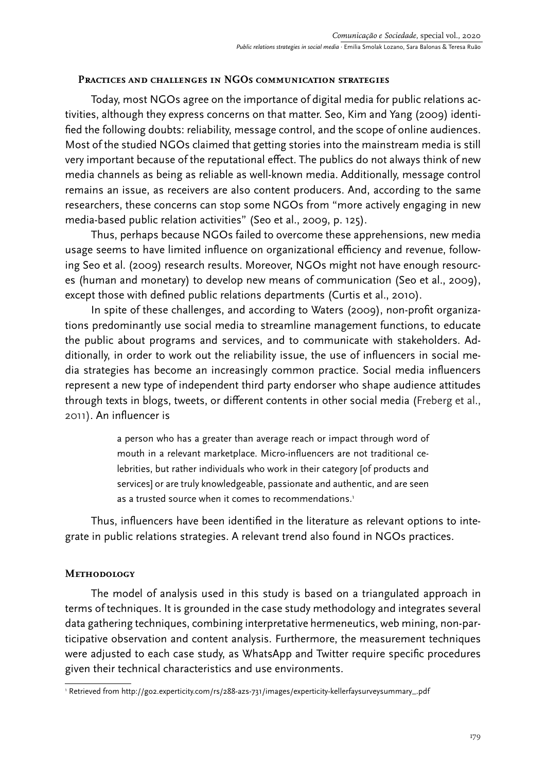# **Practices and challenges in NGOs communication strategies**

Today, most NGOs agree on the importance of digital media for public relations activities, although they express concerns on that matter. Seo, Kim and Yang (2009) identified the following doubts: reliability, message control, and the scope of online audiences. Most of the studied NGOs claimed that getting stories into the mainstream media is still very important because of the reputational effect. The publics do not always think of new media channels as being as reliable as well-known media. Additionally, message control remains an issue, as receivers are also content producers. And, according to the same researchers, these concerns can stop some NGOs from "more actively engaging in new media-based public relation activities" (Seo et al., 2009, p. 125).

Thus, perhaps because NGOs failed to overcome these apprehensions, new media usage seems to have limited influence on organizational efficiency and revenue, following Seo et al. (2009) research results. Moreover, NGOs might not have enough resources (human and monetary) to develop new means of communication (Seo et al., 2009), except those with defined public relations departments (Curtis et al., 2010).

In spite of these challenges, and according to Waters (2009), non-profit organizations predominantly use social media to streamline management functions, to educate the public about programs and services, and to communicate with stakeholders. Additionally, in order to work out the reliability issue, the use of influencers in social media strategies has become an increasingly common practice. Social media influencers represent a new type of independent third party endorser who shape audience attitudes through texts in blogs, tweets, or different contents in other social media (Freberg et al., 2011). An influencer is

> a person who has a greater than average reach or impact through word of mouth in a relevant marketplace. Micro-influencers are not traditional celebrities, but rather individuals who work in their category [of products and services] or are truly knowledgeable, passionate and authentic, and are seen as a trusted source when it comes to recommendations.<sup>1</sup>

Thus, influencers have been identified in the literature as relevant options to integrate in public relations strategies. A relevant trend also found in NGOs practices.

# **Methodology**

The model of analysis used in this study is based on a triangulated approach in terms of techniques. It is grounded in the case study methodology and integrates several data gathering techniques, combining interpretative hermeneutics, web mining, non-participative observation and content analysis. Furthermore, the measurement techniques were adjusted to each case study, as WhatsApp and Twitter require specific procedures given their technical characteristics and use environments.

<sup>1</sup> Retrieved from http://go2.experticity.com/rs/288-azs-731/images/experticity-kellerfaysurveysummary\_.pdf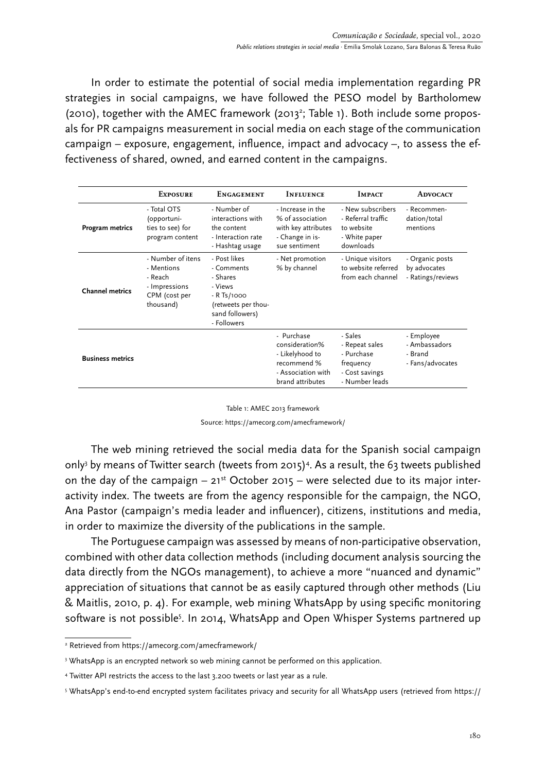In order to estimate the potential of social media implementation regarding PR strategies in social campaigns, we have followed the PESO model by Bartholomew (2010), together with the AMEC framework (2013<sup>2</sup>; Table 1). Both include some proposals for PR campaigns measurement in social media on each stage of the communication campaign – exposure, engagement, influence, impact and advocacy –, to assess the effectiveness of shared, owned, and earned content in the campaigns.

|                         | <b>EXPOSURE</b>                                                                           | <b>ENGAGEMENT</b>                                                                                                          | <b>INFLUENCE</b>                                                                                         | <b>IMPACT</b>                                                                            | <b>ADVOCACY</b>                                            |
|-------------------------|-------------------------------------------------------------------------------------------|----------------------------------------------------------------------------------------------------------------------------|----------------------------------------------------------------------------------------------------------|------------------------------------------------------------------------------------------|------------------------------------------------------------|
| Program metrics         | - Total OTS<br>(opportuni-<br>ties to see) for<br>program content                         | - Number of<br>interactions with<br>the content<br>- Interaction rate<br>- Hashtag usage                                   | - Increase in the<br>% of association<br>with key attributes<br>- Change in is-<br>sue sentiment         | - New subscribers<br>- Referral traffic<br>to website<br>- White paper<br>downloads      | - Recommen-<br>dation/total<br>mentions                    |
| <b>Channel metrics</b>  | - Number of itens<br>- Mentions<br>- Reach<br>- Impressions<br>CPM (cost per<br>thousand) | - Post likes<br>- Comments<br>- Shares<br>- Views<br>$-R$ Ts/1000<br>(retweets per thou-<br>sand followers)<br>- Followers | - Net promotion<br>% by channel                                                                          | - Unique visitors<br>to website referred<br>from each channel                            | - Organic posts<br>by advocates<br>- Ratings/reviews       |
| <b>Business metrics</b> |                                                                                           |                                                                                                                            | - Purchase<br>consideration%<br>- Likelyhood to<br>recommend %<br>- Association with<br>brand attributes | - Sales<br>- Repeat sales<br>- Purchase<br>frequency<br>- Cost savings<br>- Number leads | - Employee<br>- Ambassadors<br>- Brand<br>- Fans/advocates |

Table 1: AMEC 2013 framework

Source: <https://amecorg.com/amecframework/>

The web mining retrieved the social media data for the Spanish social campaign only3 by means of Twitter search (tweets from 2015)4 . As a result, the 63 tweets published on the day of the campaign  $-21^{st}$  October 2015 – were selected due to its major interactivity index. The tweets are from the agency responsible for the campaign, the NGO, Ana Pastor (campaign's media leader and influencer), citizens, institutions and media, in order to maximize the diversity of the publications in the sample.

The Portuguese campaign was assessed by means of non-participative observation, combined with other data collection methods (including document analysis sourcing the data directly from the NGOs management), to achieve a more "nuanced and dynamic" appreciation of situations that cannot be as easily captured through other methods (Liu & Maitlis, 2010, p. 4). For example, web mining WhatsApp by using specific monitoring software is not possible<sup>5</sup>. In 2014, WhatsApp and Open Whisper Systems partnered up

<sup>2</sup> Retrieved from<https://amecorg.com/amecframework/>

 $\,$  WhatsApp is an encrypted network so web mining cannot be performed on this application.

<sup>4</sup> Twitter API restricts the access to the last 3.200 tweets or last year as a rule.

<sup>5</sup> WhatsApp's end-to-end encrypted system facilitates privacy and security for all WhatsApp users (retrieved from https://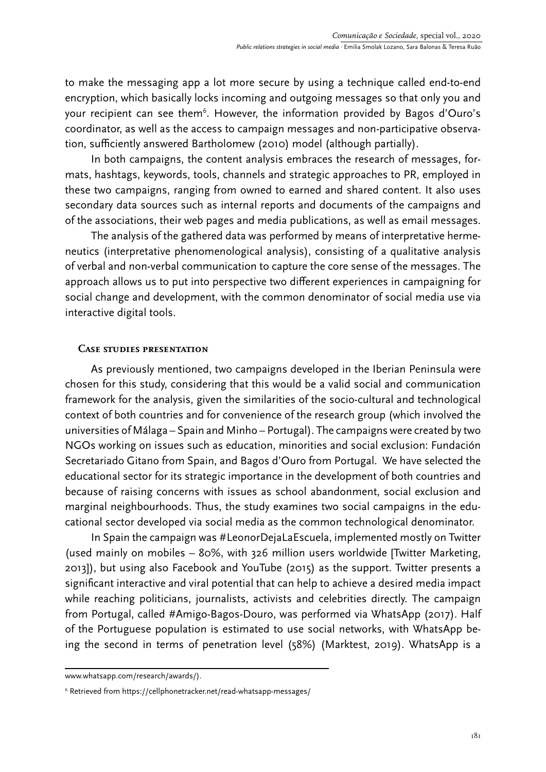to make the messaging app a lot more secure by using a technique called end-to-end encryption, which basically locks incoming and outgoing messages so that only you and your recipient can see them<sup>6</sup>. However, the information provided by Bagos d'Ouro's coordinator, as well as the access to campaign messages and non-participative observation, sufficiently answered Bartholomew (2010) model (although partially).

In both campaigns, the content analysis embraces the research of messages, formats, hashtags, keywords, tools, channels and strategic approaches to PR, employed in these two campaigns, ranging from owned to earned and shared content. It also uses secondary data sources such as internal reports and documents of the campaigns and of the associations, their web pages and media publications, as well as email messages.

The analysis of the gathered data was performed by means of interpretative hermeneutics (interpretative phenomenological analysis), consisting of a qualitative analysis of verbal and non-verbal communication to capture the core sense of the messages. The approach allows us to put into perspective two different experiences in campaigning for social change and development, with the common denominator of social media use via interactive digital tools.

# **Case studies presentation**

As previously mentioned, two campaigns developed in the Iberian Peninsula were chosen for this study, considering that this would be a valid social and communication framework for the analysis, given the similarities of the socio-cultural and technological context of both countries and for convenience of the research group (which involved the universities of Málaga – Spain and Minho – Portugal). The campaigns were created by two NGOs working on issues such as education, minorities and social exclusion: Fundación Secretariado Gitano from Spain, and Bagos d'Ouro from Portugal. We have selected the educational sector for its strategic importance in the development of both countries and because of raising concerns with issues as school abandonment, social exclusion and marginal neighbourhoods. Thus, the study examines two social campaigns in the educational sector developed via social media as the common technological denominator.

In Spain the campaign was #LeonorDejaLaEscuela, implemented mostly on Twitter (used mainly on mobiles – 80%, with 326 million users worldwide [Twitter Marketing, 2013]), but using also Facebook and YouTube (2015) as the support. Twitter presents a significant interactive and viral potential that can help to achieve a desired media impact while reaching politicians, journalists, activists and celebrities directly. The campaign from Portugal, called #Amigo-Bagos-Douro, was performed via WhatsApp (2017). Half of the Portuguese population is estimated to use social networks, with WhatsApp being the second in terms of penetration level (58%) (Marktest, 2019). WhatsApp is a

www.whatsapp.com/research/awards/).

<sup>6</sup> Retrieved from https://cellphonetracker.net/read-whatsapp-messages/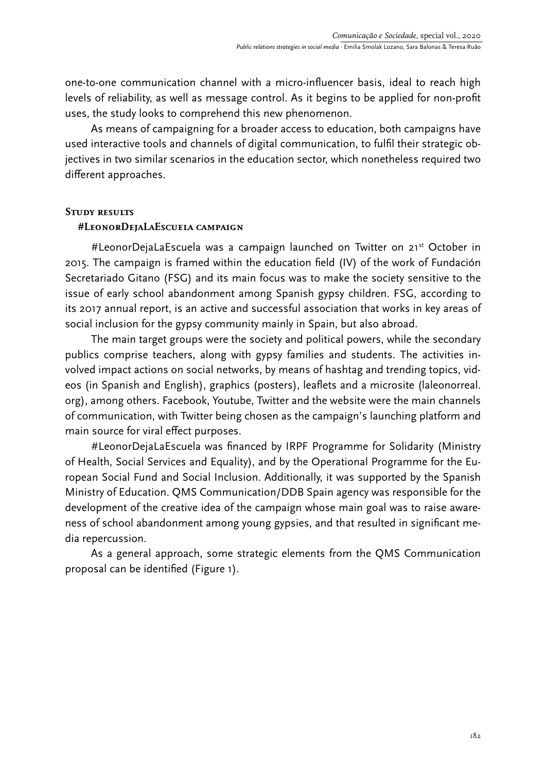one-to-one communication channel with a micro-influencer basis, ideal to reach high levels of reliability, as well as message control. As it begins to be applied for non-profit uses, the study looks to comprehend this new phenomenon.

As means of campaigning for a broader access to education, both campaigns have used interactive tools and channels of digital communication, to fulfil their strategic objectives in two similar scenarios in the education sector, which nonetheless required two different approaches.

### **Study results**

### **#LeonorDejaLaEscuela campaign**

#LeonorDejaLaEscuela was a campaign launched on Twitter on 21<sup>st</sup> October in 2015. The campaign is framed within the education field (IV) of the work of Fundación Secretariado Gitano (FSG) and its main focus was to make the society sensitive to the issue of early school abandonment among Spanish gypsy children. FSG, according to its 2017 annual report, is an active and successful association that works in key areas of social inclusion for the gypsy community mainly in Spain, but also abroad.

The main target groups were the society and political powers, while the secondary publics comprise teachers, along with gypsy families and students. The activities involved impact actions on social networks, by means of hashtag and trending topics, videos (in Spanish and English), graphics (posters), leaflets and a microsite (laleonorreal. org), among others. Facebook, Youtube, Twitter and the website were the main channels of communication, with Twitter being chosen as the campaign's launching platform and main source for viral effect purposes.

#LeonorDejaLaEscuela was financed by IRPF Programme for Solidarity (Ministry of Health, Social Services and Equality), and by the Operational Programme for the European Social Fund and Social Inclusion. Additionally, it was supported by the Spanish Ministry of Education. QMS Communication/DDB Spain agency was responsible for the development of the creative idea of the campaign whose main goal was to raise awareness of school abandonment among young gypsies, and that resulted in significant media repercussion.

As a general approach, some strategic elements from the QMS Communication proposal can be identified (Figure 1).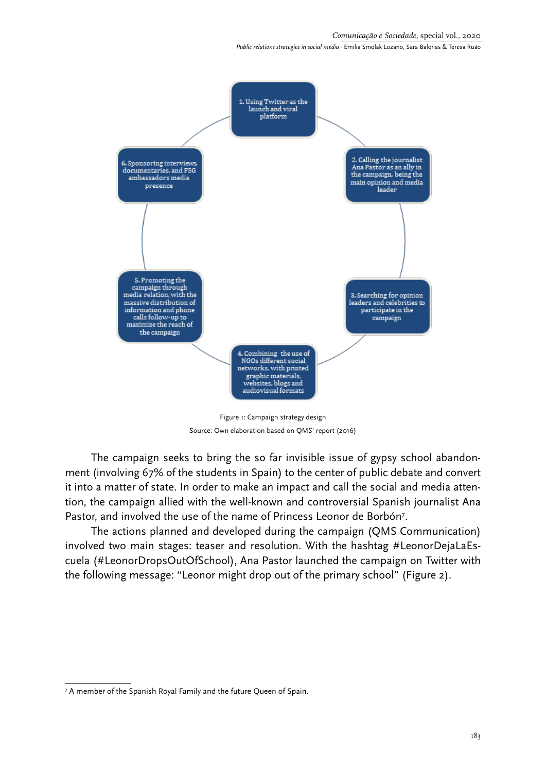

Figure 1: Campaign strategy design Source: Own elaboration based on QMS' report (2016)

The campaign seeks to bring the so far invisible issue of gypsy school abandonment (involving 67% of the students in Spain) to the center of public debate and convert it into a matter of state. In order to make an impact and call the social and media attention, the campaign allied with the well-known and controversial Spanish journalist Ana Pastor, and involved the use of the name of Princess Leonor de Borbón<sup>7</sup>.

The actions planned and developed during the campaign (QMS Communication) involved two main stages: teaser and resolution. With the hashtag #LeonorDejaLaEscuela (#LeonorDropsOutOfSchool), Ana Pastor launched the campaign on Twitter with the following message: "Leonor might drop out of the primary school" (Figure 2).

<sup>7</sup> A member of the Spanish Royal Family and the future Queen of Spain.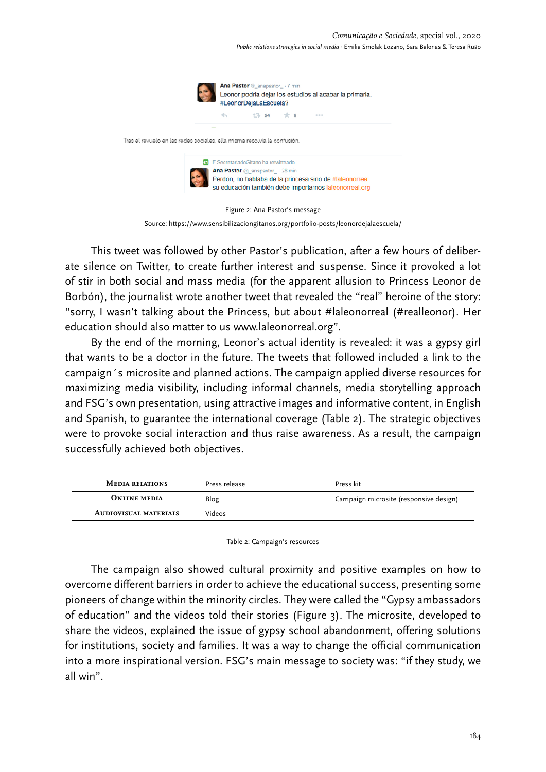

Source:<https://www.sensibilizaciongitanos.org/portfolio-posts/leonordejalaescuela/>

This tweet was followed by other Pastor's publication, after a few hours of deliberate silence on Twitter, to create further interest and suspense. Since it provoked a lot of stir in both social and mass media (for the apparent allusion to Princess Leonor de Borbón), the journalist wrote another tweet that revealed the "real" heroine of the story: "sorry, I wasn't talking about the Princess, but about #laleonorreal (#realleonor). Her education should also matter to us www.laleonorreal.org".

By the end of the morning, Leonor's actual identity is revealed: it was a gypsy girl that wants to be a doctor in the future. The tweets that followed included a link to the campaign´s microsite and planned actions. The campaign applied diverse resources for maximizing media visibility, including informal channels, media storytelling approach and FSG's own presentation, using attractive images and informative content, in English and Spanish, to guarantee the international coverage (Table 2). The strategic objectives were to provoke social interaction and thus raise awareness. As a result, the campaign successfully achieved both objectives.

| <b>MEDIA RELATIONS</b>       | Press release | Press kit                              |
|------------------------------|---------------|----------------------------------------|
| <b>ONLINE MEDIA</b>          | Blog          | Campaign microsite (responsive design) |
| <b>AUDIOVISUAL MATERIALS</b> | Videos        |                                        |

Table 2: Campaign's resources

The campaign also showed cultural proximity and positive examples on how to overcome different barriers in order to achieve the educational success, presenting some pioneers of change within the minority circles. They were called the "Gypsy ambassadors of education" and the videos told their stories (Figure 3). The microsite, developed to share the videos, explained the issue of gypsy school abandonment, offering solutions for institutions, society and families. It was a way to change the official communication into a more inspirational version. FSG's main message to society was: "if they study, we all win".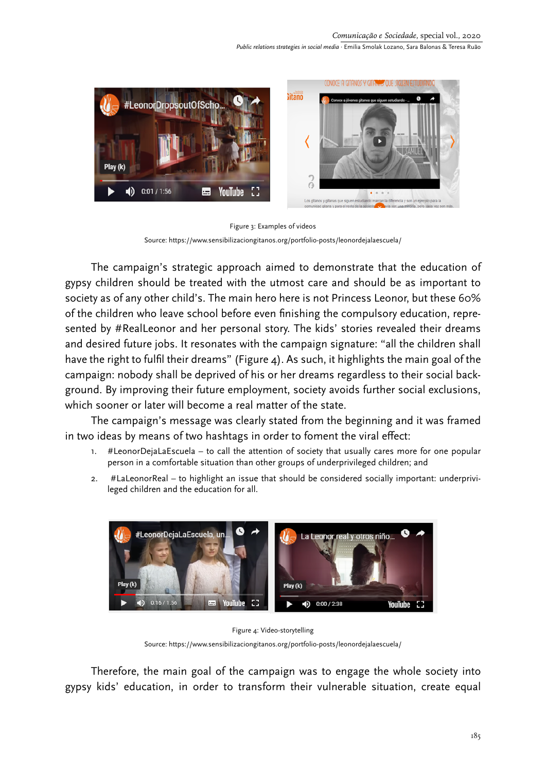

Figure 3: Examples of videos Source:<https://www.sensibilizaciongitanos.org/portfolio-posts/leonordejalaescuela/>

The campaign's strategic approach aimed to demonstrate that the education of gypsy children should be treated with the utmost care and should be as important to society as of any other child's. The main hero here is not Princess Leonor, but these 60% of the children who leave school before even finishing the compulsory education, represented by #RealLeonor and her personal story. The kids' stories revealed their dreams and desired future jobs. It resonates with the campaign signature: "all the children shall have the right to fulfil their dreams" (Figure 4). As such, it highlights the main goal of the campaign: nobody shall be deprived of his or her dreams regardless to their social background. By improving their future employment, society avoids further social exclusions, which sooner or later will become a real matter of the state.

The campaign's message was clearly stated from the beginning and it was framed in two ideas by means of two hashtags in order to foment the viral effect:

- 1. #LeonorDejaLaEscuela to call the attention of society that usually cares more for one popular person in a comfortable situation than other groups of underprivileged children; and
- 2. #LaLeonorReal to highlight an issue that should be considered socially important: underprivileged children and the education for all.



Figure 4: Video-storytelling Source:<https://www.sensibilizaciongitanos.org/portfolio-posts/leonordejalaescuela/>

Therefore, the main goal of the campaign was to engage the whole society into gypsy kids' education, in order to transform their vulnerable situation, create equal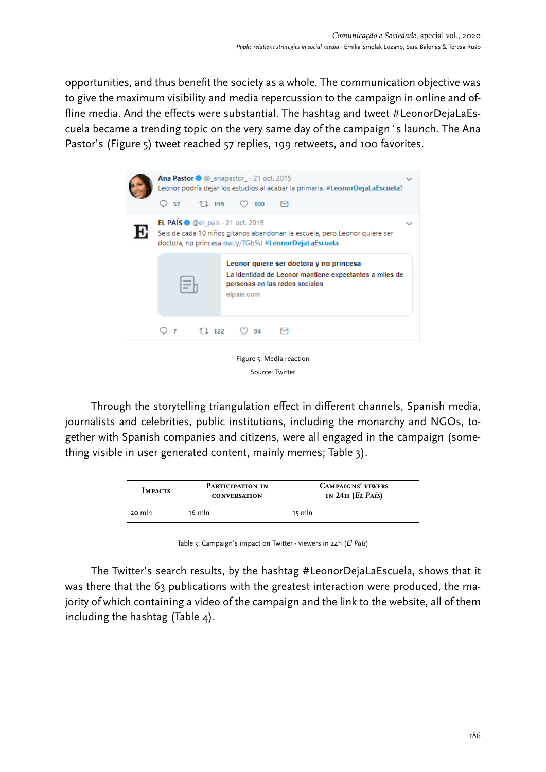opportunities, and thus benefit the society as a whole. The communication objective was to give the maximum visibility and media repercussion to the campaign in online and offline media. And the effects were substantial. The hashtag and tweet #LeonorDejaLaEscuela became a trending topic on the very same day of the campaign´s launch. The Ana Pastor's (Figure 5) tweet reached 57 replies, 199 retweets, and 100 favorites.



Source: Twitter

Through the storytelling triangulation effect in different channels, Spanish media, journalists and celebrities, public institutions, including the monarchy and NGOs, together with Spanish companies and citizens, were all engaged in the campaign (something visible in user generated content, mainly memes; Table 3).

| <b>IMPACTS</b> | PARTICIPATION IN<br><b>CONVERSATION</b> | <b>CAMPAIGNS' VIWERS</b><br>IN $24H$ ( <i>EL PAÍS</i> ) |  |
|----------------|-----------------------------------------|---------------------------------------------------------|--|
| 20 mln         | 16 mln                                  | 15 mln                                                  |  |

Table 3: Campaign's impact on Twitter - viewers in 24h (*El País*)

The Twitter's search results, by the hashtag #LeonorDejaLaEscuela, shows that it was there that the 63 publications with the greatest interaction were produced, the majority of which containing a video of the campaign and the link to the website, all of them including the hashtag (Table 4).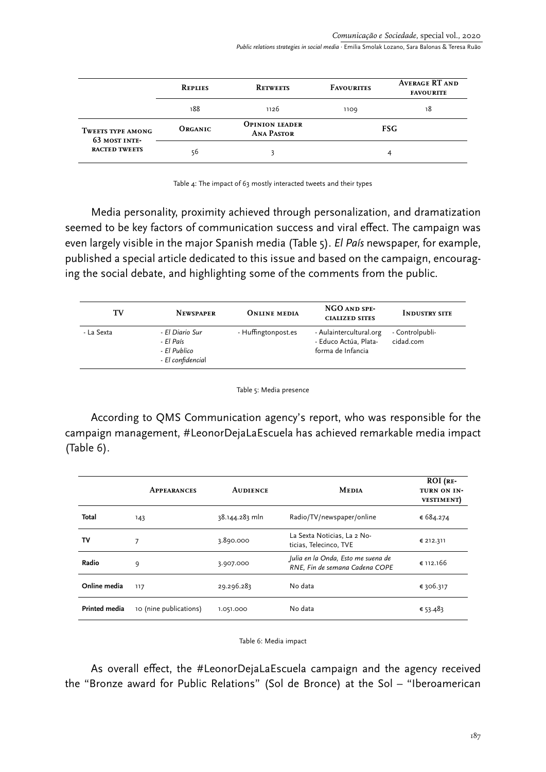|                                           | <b>REPLIES</b> | <b>RETWEETS</b>                            | <b>FAVOURITES</b> | <b>AVERAGE RT AND</b><br><b>FAVOURITE</b> |
|-------------------------------------------|----------------|--------------------------------------------|-------------------|-------------------------------------------|
|                                           | 188            | 1126                                       | 1109              | 18                                        |
| <b>TWEETS TYPE AMONG</b><br>63 MOST INTE- | <b>ORGANIC</b> | <b>OPINION LEADER</b><br><b>ANA PASTOR</b> |                   | FSG.                                      |
| <b>RACTED TWEETS</b>                      | 56             |                                            |                   |                                           |

Table 4: The impact of 63 mostly interacted tweets and their types

Media personality, proximity achieved through personalization, and dramatization seemed to be key factors of communication success and viral effect. The campaign was even largely visible in the major Spanish media (Table 5). *El País* newspaper, for example, published a special article dedicated to this issue and based on the campaign, encouraging the social debate, and highlighting some of the comments from the public.

| TV         | <b>NEWSPAPER</b>                                                  | <b>ONLINE MEDIA</b> | NGO AND SPE-<br><b>CIALIZED SITES</b>                                 | <b>INDUSTRY SITE</b>         |
|------------|-------------------------------------------------------------------|---------------------|-----------------------------------------------------------------------|------------------------------|
| - La Sexta | - El Diario Sur<br>- El País<br>- El Publico<br>- El confidencial | - Huffingtonpost.es | - Aulaintercultural.org<br>- Educo Actúa, Plata-<br>forma de Infancia | - Controlpubli-<br>cidad.com |

Table 5: Media presence

According to QMS Communication agency's report, who was responsible for the campaign management, #LeonorDejaLaEscuela has achieved remarkable media impact (Table 6).

|                      | <b>APPEARANCES</b>     | <b>AUDIENCE</b> | <b>MEDIA</b>                                                         | $ROI$ ( $RE$ -<br>TURN ON IN-<br><b>VESTIMENT</b> |
|----------------------|------------------------|-----------------|----------------------------------------------------------------------|---------------------------------------------------|
| Total                | 143                    | 38.144.283 mln  | Radio/TV/newspaper/online                                            | € 684.274                                         |
| т٧                   | 7                      | 3.890.000       | La Sexta Noticias, La 2 No-<br>ticias, Telecinco, TVE                | € 212.311                                         |
| Radio                | 9                      | 3.907.000       | Julia en la Onda, Esto me suena de<br>RNE, Fin de semana Cadena COPE | € 112.166                                         |
| Online media         | 117                    | 29.296.283      | No data                                                              | € 306.317                                         |
| <b>Printed media</b> | 10 (nine publications) | 1.051.000       | No data                                                              | € 53.483                                          |

Table 6: Media impact

As overall effect, the #LeonorDejaLaEscuela campaign and the agency received the "Bronze award for Public Relations" (Sol de Bronce) at the Sol – "Iberoamerican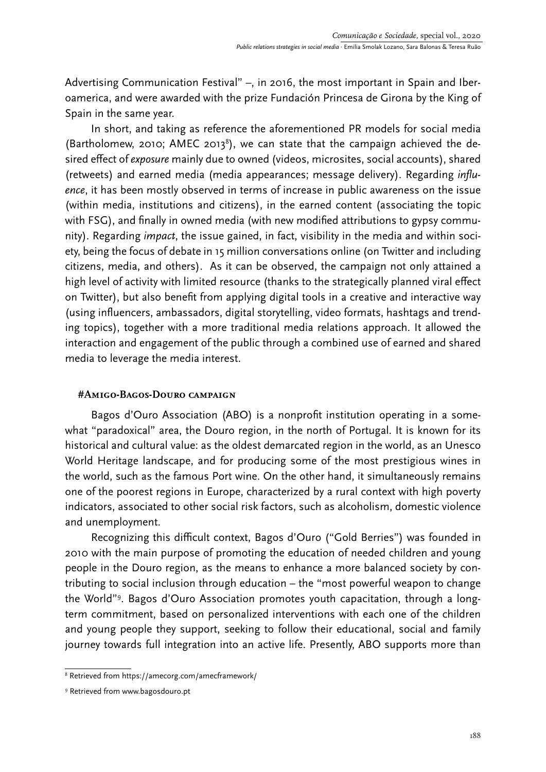Advertising Communication Festival" –, in 2016, the most important in Spain and Iberoamerica, and were awarded with the prize Fundación Princesa de Girona by the King of Spain in the same year.

In short, and taking as reference the aforementioned PR models for social media (Bartholomew, 2010; AMEC 2013<sup>8</sup>), we can state that the campaign achieved the desired effect of *exposure* mainly due to owned (videos, microsites, social accounts), shared (retweets) and earned media (media appearances; message delivery). Regarding *influence*, it has been mostly observed in terms of increase in public awareness on the issue (within media, institutions and citizens), in the earned content (associating the topic with FSG), and finally in owned media (with new modified attributions to gypsy community). Regarding *impact*, the issue gained, in fact, visibility in the media and within society, being the focus of debate in 15 million conversations online (on Twitter and including citizens, media, and others). As it can be observed, the campaign not only attained a high level of activity with limited resource (thanks to the strategically planned viral effect on Twitter), but also benefit from applying digital tools in a creative and interactive way (using influencers, ambassadors, digital storytelling, video formats, hashtags and trending topics), together with a more traditional media relations approach. It allowed the interaction and engagement of the public through a combined use of earned and shared media to leverage the media interest.

## **#Amigo-Bagos-Douro campaign**

Bagos d'Ouro Association (ABO) is a nonprofit institution operating in a somewhat "paradoxical" area, the Douro region, in the north of Portugal. It is known for its historical and cultural value: as the oldest demarcated region in the world, as an Unesco World Heritage landscape, and for producing some of the most prestigious wines in the world, such as the famous Port wine. On the other hand, it simultaneously remains one of the poorest regions in Europe, characterized by a rural context with high poverty indicators, associated to other social risk factors, such as alcoholism, domestic violence and unemployment.

Recognizing this difficult context, Bagos d'Ouro ("Gold Berries") was founded in 2010 with the main purpose of promoting the education of needed children and young people in the Douro region, as the means to enhance a more balanced society by contributing to social inclusion through education – the "most powerful weapon to change the World"9 . Bagos d'Ouro Association promotes youth capacitation, through a longterm commitment, based on personalized interventions with each one of the children and young people they support, seeking to follow their educational, social and family journey towards full integration into an active life. Presently, ABO supports more than

<sup>8</sup> Retrieved from<https://amecorg.com/amecframework/>

<sup>9</sup> Retrieved from [www.bagosdouro.pt](http://www.bagosdouro.pt)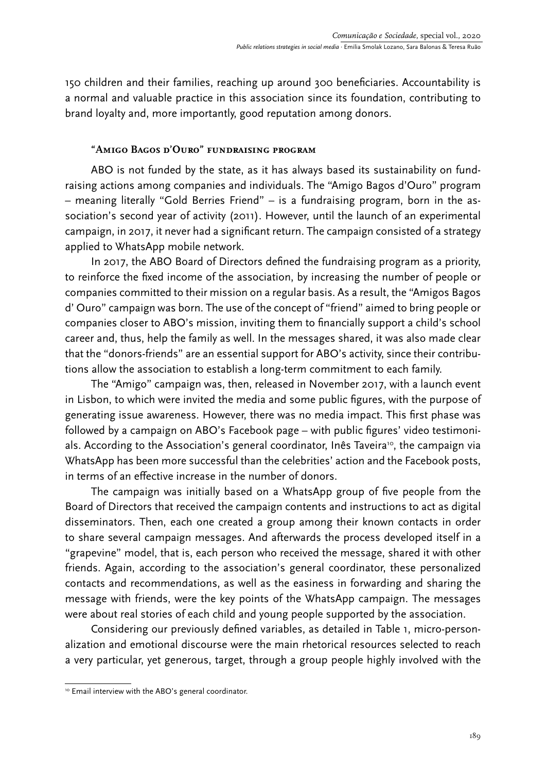150 children and their families, reaching up around 300 beneficiaries. Accountability is a normal and valuable practice in this association since its foundation, contributing to brand loyalty and, more importantly, good reputation among donors.

# **"Amigo Bagos d'Ouro" fundraising program**

ABO is not funded by the state, as it has always based its sustainability on fundraising actions among companies and individuals. The "Amigo Bagos d'Ouro" program – meaning literally "Gold Berries Friend" – is a fundraising program, born in the association's second year of activity (2011). However, until the launch of an experimental campaign, in 2017, it never had a significant return. The campaign consisted of a strategy applied to WhatsApp mobile network.

In 2017, the ABO Board of Directors defined the fundraising program as a priority, to reinforce the fixed income of the association, by increasing the number of people or companies committed to their mission on a regular basis. As a result, the "Amigos Bagos d' Ouro" campaign was born. The use of the concept of "friend" aimed to bring people or companies closer to ABO's mission, inviting them to financially support a child's school career and, thus, help the family as well. In the messages shared, it was also made clear that the "donors-friends" are an essential support for ABO's activity, since their contributions allow the association to establish a long-term commitment to each family.

The "Amigo" campaign was, then, released in November 2017, with a launch event in Lisbon, to which were invited the media and some public figures, with the purpose of generating issue awareness. However, there was no media impact. This first phase was followed by a campaign on ABO's Facebook page – with public figures' video testimonials. According to the Association's general coordinator, Inês Taveira<sup>10</sup>, the campaign via WhatsApp has been more successful than the celebrities' action and the Facebook posts, in terms of an effective increase in the number of donors.

The campaign was initially based on a WhatsApp group of five people from the Board of Directors that received the campaign contents and instructions to act as digital disseminators. Then, each one created a group among their known contacts in order to share several campaign messages. And afterwards the process developed itself in a "grapevine" model, that is, each person who received the message, shared it with other friends. Again, according to the association's general coordinator, these personalized contacts and recommendations, as well as the easiness in forwarding and sharing the message with friends, were the key points of the WhatsApp campaign. The messages were about real stories of each child and young people supported by the association.

Considering our previously defined variables, as detailed in Table 1, micro-personalization and emotional discourse were the main rhetorical resources selected to reach a very particular, yet generous, target, through a group people highly involved with the

<sup>&</sup>lt;sup>10</sup> Email interview with the ABO's general coordinator.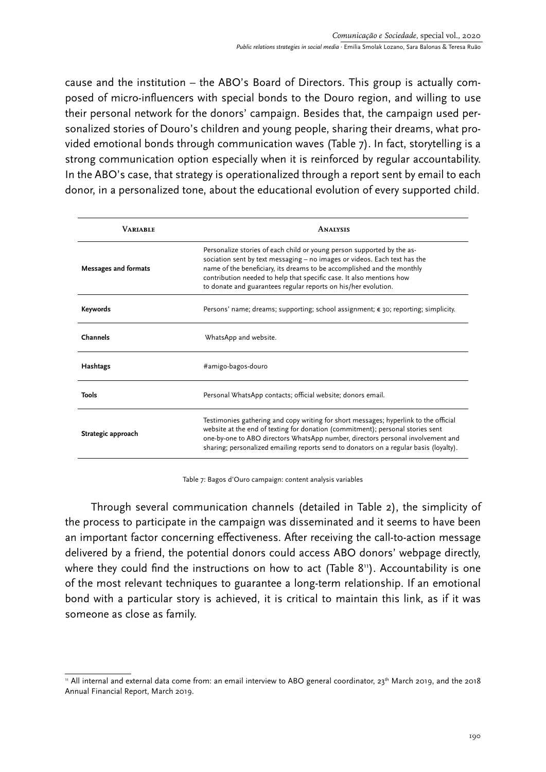cause and the institution – the ABO's Board of Directors. This group is actually composed of micro-influencers with special bonds to the Douro region, and willing to use their personal network for the donors' campaign. Besides that, the campaign used personalized stories of Douro's children and young people, sharing their dreams, what provided emotional bonds through communication waves (Table 7). In fact, storytelling is a strong communication option especially when it is reinforced by regular accountability. In the ABO's case, that strategy is operationalized through a report sent by email to each donor, in a personalized tone, about the educational evolution of every supported child.

| <b>VARIABLE</b>             | <b>ANALYSIS</b>                                                                                                                                                                                                                                                                                                                                                         |
|-----------------------------|-------------------------------------------------------------------------------------------------------------------------------------------------------------------------------------------------------------------------------------------------------------------------------------------------------------------------------------------------------------------------|
| <b>Messages and formats</b> | Personalize stories of each child or young person supported by the as-<br>sociation sent by text messaging - no images or videos. Each text has the<br>name of the beneficiary, its dreams to be accomplished and the monthly<br>contribution needed to help that specific case. It also mentions how<br>to donate and guarantees regular reports on his/her evolution. |
| Keywords                    | Persons' name; dreams; supporting; school assignment; $\epsilon$ 30; reporting; simplicity.                                                                                                                                                                                                                                                                             |
| Channels                    | WhatsApp and website.                                                                                                                                                                                                                                                                                                                                                   |
| Hashtags                    | #amigo-bagos-douro                                                                                                                                                                                                                                                                                                                                                      |
| <b>Tools</b>                | Personal WhatsApp contacts; official website; donors email.                                                                                                                                                                                                                                                                                                             |
| Strategic approach          | Testimonies gathering and copy writing for short messages; hyperlink to the official<br>website at the end of texting for donation (commitment); personal stories sent<br>one-by-one to ABO directors WhatsApp number, directors personal involvement and<br>sharing; personalized emailing reports send to donators on a regular basis (loyalty).                      |

Table 7: Bagos d'Ouro campaign: content analysis variables

Through several communication channels (detailed in Table 2), the simplicity of the process to participate in the campaign was disseminated and it seems to have been an important factor concerning effectiveness. After receiving the call-to-action message delivered by a friend, the potential donors could access ABO donors' webpage directly, where they could find the instructions on how to act (Table 8<sup>11</sup>). Accountability is one of the most relevant techniques to guarantee a long-term relationship. If an emotional bond with a particular story is achieved, it is critical to maintain this link, as if it was someone as close as family.

<sup>&</sup>lt;sup>11</sup> All internal and external data come from: an email interview to ABO general coordinator, 23<sup>th</sup> March 2019, and the 2018 Annual Financial Report, March 2019.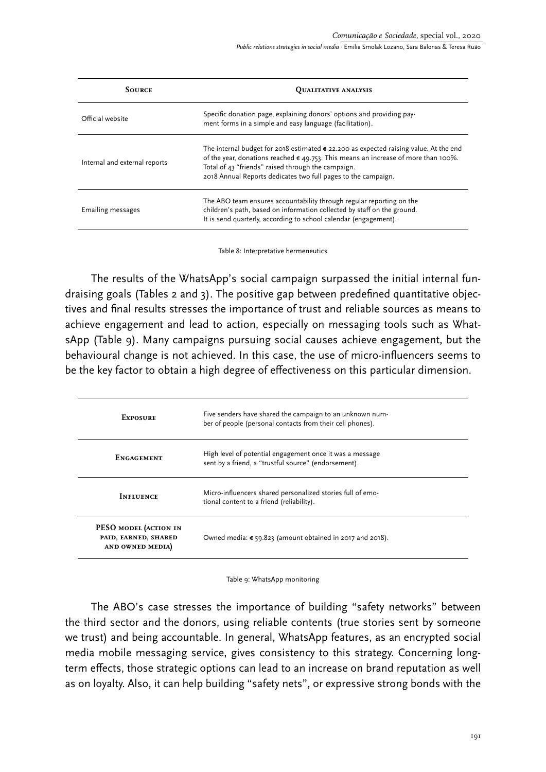| <b>SOURCE</b>                 | <b>QUALITATIVE ANALYSIS</b>                                                                                                                                                                                                                                                                                          |  |  |
|-------------------------------|----------------------------------------------------------------------------------------------------------------------------------------------------------------------------------------------------------------------------------------------------------------------------------------------------------------------|--|--|
| Official website              | Specific donation page, explaining donors' options and providing pay-<br>ment forms in a simple and easy language (facilitation).                                                                                                                                                                                    |  |  |
| Internal and external reports | The internal budget for 2018 estimated $\epsilon$ 22.200 as expected raising value. At the end<br>of the year, donations reached $\epsilon$ 49.753. This means an increase of more than 100%.<br>Total of 43 "friends" raised through the campaign.<br>2018 Annual Reports dedicates two full pages to the campaign. |  |  |
| <b>Emailing messages</b>      | The ABO team ensures accountability through regular reporting on the<br>children's path, based on information collected by staff on the ground.<br>It is send quarterly, according to school calendar (engagement).                                                                                                  |  |  |

Table 8: Interpretative hermeneutics

The results of the WhatsApp's social campaign surpassed the initial internal fundraising goals (Tables 2 and 3). The positive gap between predefined quantitative objectives and final results stresses the importance of trust and reliable sources as means to achieve engagement and lead to action, especially on messaging tools such as WhatsApp (Table 9). Many campaigns pursuing social causes achieve engagement, but the behavioural change is not achieved. In this case, the use of micro-influencers seems to be the key factor to obtain a high degree of effectiveness on this particular dimension.

| <b>EXPOSURE</b>                                                  | Five senders have shared the campaign to an unknown num-<br>ber of people (personal contacts from their cell phones). |
|------------------------------------------------------------------|-----------------------------------------------------------------------------------------------------------------------|
| <b>ENGAGEMENT</b>                                                | High level of potential engagement once it was a message<br>sent by a friend, a "trustful source" (endorsement).      |
| <b>INFLUENCE</b>                                                 | Micro-influencers shared personalized stories full of emo-<br>tional content to a friend (reliability).               |
| PESO MODEL (ACTION IN<br>PAID, EARNED, SHARED<br>AND OWNED MEDIA | Owned media: $\epsilon$ 59.823 (amount obtained in 2017 and 2018).                                                    |

Table 9: WhatsApp monitoring

The ABO's case stresses the importance of building "safety networks" between the third sector and the donors, using reliable contents (true stories sent by someone we trust) and being accountable. In general, WhatsApp features, as an encrypted social media mobile messaging service, gives consistency to this strategy. Concerning longterm effects, those strategic options can lead to an increase on brand reputation as well as on loyalty. Also, it can help building "safety nets", or expressive strong bonds with the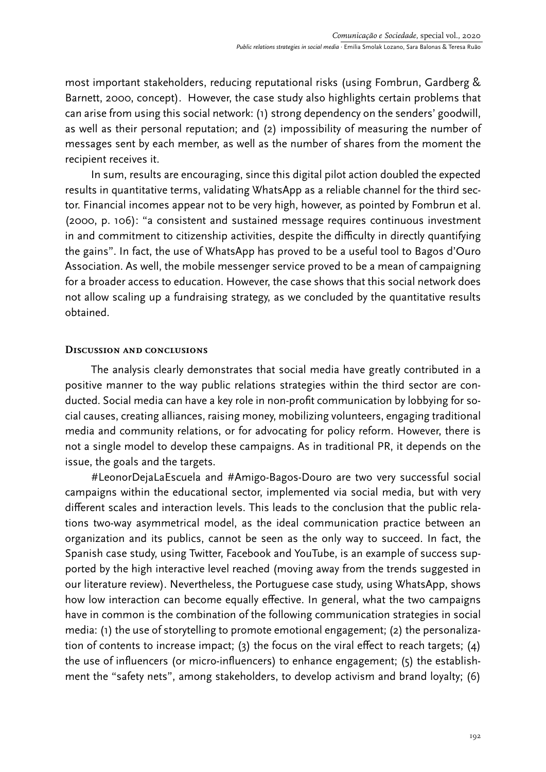most important stakeholders, reducing reputational risks (using Fombrun, Gardberg & Barnett, 2000, concept). However, the case study also highlights certain problems that can arise from using this social network: (1) strong dependency on the senders' goodwill, as well as their personal reputation; and (2) impossibility of measuring the number of messages sent by each member, as well as the number of shares from the moment the recipient receives it.

In sum, results are encouraging, since this digital pilot action doubled the expected results in quantitative terms, validating WhatsApp as a reliable channel for the third sector. Financial incomes appear not to be very high, however, as pointed by Fombrun et al. (2000, p. 106): "a consistent and sustained message requires continuous investment in and commitment to citizenship activities, despite the difficulty in directly quantifying the gains". In fact, the use of WhatsApp has proved to be a useful tool to Bagos d'Ouro Association. As well, the mobile messenger service proved to be a mean of campaigning for a broader access to education. However, the case shows that this social network does not allow scaling up a fundraising strategy, as we concluded by the quantitative results obtained.

## **Discussion and conclusions**

The analysis clearly demonstrates that social media have greatly contributed in a positive manner to the way public relations strategies within the third sector are conducted. Social media can have a key role in non-profit communication by lobbying for social causes, creating alliances, raising money, mobilizing volunteers, engaging traditional media and community relations, or for advocating for policy reform. However, there is not a single model to develop these campaigns. As in traditional PR, it depends on the issue, the goals and the targets.

#LeonorDejaLaEscuela and #Amigo-Bagos-Douro are two very successful social campaigns within the educational sector, implemented via social media, but with very different scales and interaction levels. This leads to the conclusion that the public relations two-way asymmetrical model, as the ideal communication practice between an organization and its publics, cannot be seen as the only way to succeed. In fact, the Spanish case study, using Twitter, Facebook and YouTube, is an example of success supported by the high interactive level reached (moving away from the trends suggested in our literature review). Nevertheless, the Portuguese case study, using WhatsApp, shows how low interaction can become equally effective. In general, what the two campaigns have in common is the combination of the following communication strategies in social media: (1) the use of storytelling to promote emotional engagement; (2) the personalization of contents to increase impact; (3) the focus on the viral effect to reach targets; (4) the use of influencers (or micro-influencers) to enhance engagement; (5) the establishment the "safety nets", among stakeholders, to develop activism and brand loyalty; (6)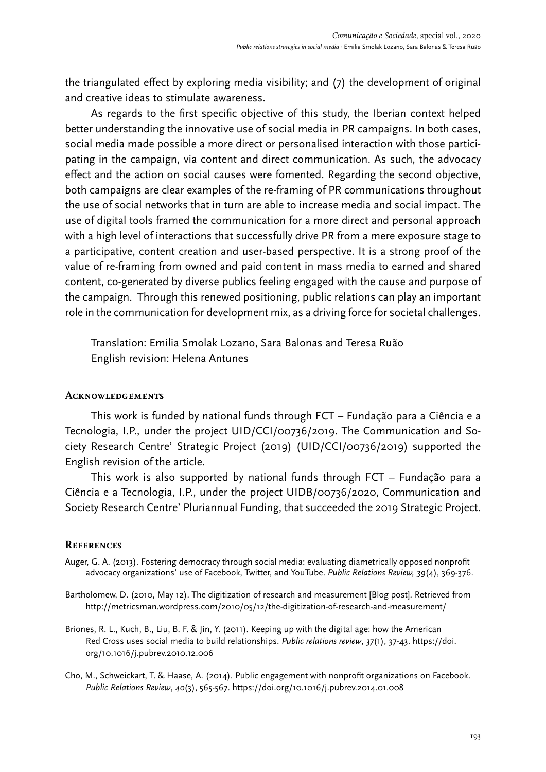the triangulated effect by exploring media visibility; and (7) the development of original and creative ideas to stimulate awareness.

As regards to the first specific objective of this study, the Iberian context helped better understanding the innovative use of social media in PR campaigns. In both cases, social media made possible a more direct or personalised interaction with those participating in the campaign, via content and direct communication. As such, the advocacy effect and the action on social causes were fomented. Regarding the second objective, both campaigns are clear examples of the re-framing of PR communications throughout the use of social networks that in turn are able to increase media and social impact. The use of digital tools framed the communication for a more direct and personal approach with a high level of interactions that successfully drive PR from a mere exposure stage to a participative, content creation and user-based perspective. It is a strong proof of the value of re-framing from owned and paid content in mass media to earned and shared content, co-generated by diverse publics feeling engaged with the cause and purpose of the campaign. Through this renewed positioning, public relations can play an important role in the communication for development mix, as a driving force for societal challenges.

Translation: Emilia Smolak Lozano, Sara Balonas and Teresa Ruão English revision: Helena Antunes

## **Acknowledgements**

This work is funded by national funds through FCT – Fundação para a Ciência e a Tecnologia, I.P., under the project UID/CCI/00736/2019. The Communication and Society Research Centre' Strategic Project (2019) (UID/CCI/00736/2019) supported the English revision of the article.

This work is also supported by national funds through FCT – Fundação para a Ciência e a Tecnologia, I.P., under the project UIDB/00736/2020, Communication and Society Research Centre' Pluriannual Funding, that succeeded the 2019 Strategic Project.

# **References**

- Auger, G. A. (2013). Fostering democracy through social media: evaluating diametrically opposed nonprofit advocacy organizations' use of Facebook, Twitter, and YouTube. *Public Relations Review, 39*(4), 369-376.
- Bartholomew, D. (2010, May 12). The digitization of research and measurement [Blog post]. Retrieved from http://metricsman.wordpress.com/2010/05/12/the-digitization-of-research-and-measurement/
- Briones, R. L., Kuch, B., Liu, B. F. & Jin, Y. (2011). Keeping up with the digital age: how the American Red Cross uses social media to build relationships. *Public relations review*, *37*(1), 37-43. https://doi. org/10.1016/j.pubrev.2010.12.006
- Cho, M., Schweickart, T. & Haase, A. (2014). Public engagement with nonprofit organizations on Facebook. *Public Relations Review*, *40*(3), 565-567. https://doi.org/10.1016/j.pubrev.2014.01.008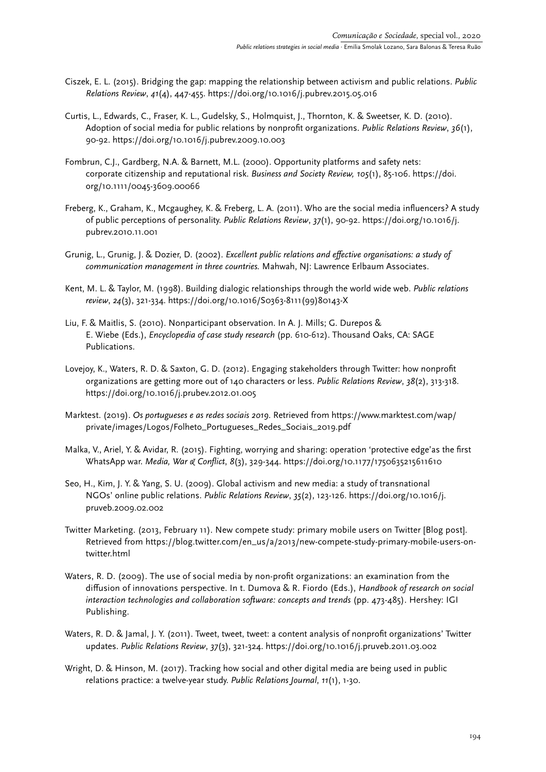- Ciszek, E. L. (2015). Bridging the gap: mapping the relationship between activism and public relations. *Public Relations Review*, *41*(4), 447-455. https://doi.org/10.1016/j.pubrev.2015.05.016
- Curtis, L., Edwards, C., Fraser, K. L., Gudelsky, S., Holmquist, J., Thornton, K. & Sweetser, K. D. (2010). Adoption of social media for public relations by nonprofit organizations. *Public Relations Review*, *36*(1), 90-92. https://doi.org/10.1016/j.pubrev.2009.10.003
- Fombrun, C.J., Gardberg, N.A. & Barnett, M.L. (2000). Opportunity platforms and safety nets: corporate citizenship and reputational risk. *Business and Society Review, 105*(1), 85-106. https://doi. org/10.1111/0045-3609.00066
- Freberg, K., Graham, K., Mcgaughey, K. & Freberg, L. A. (2011). Who are the social media influencers? A study of public perceptions of personality. *Public Relations Review*, *37*(1), 90-92. https://doi.org/10.1016/j. pubrev.2010.11.001
- Grunig, L., Grunig, J. & Dozier, D. (2002). *Excellent public relations and effective organisations: a study of communication management in three countries.* Mahwah, NJ: Lawrence Erlbaum Associates.
- Kent, M. L. & Taylor, M. (1998). Building dialogic relationships through the world wide web. *Public relations review*, *24*(3), 321-334. https://doi.org/10.1016/S0363-8111(99)80143-X
- Liu, F. & Maitlis, S. (2010). Nonparticipant observation. In A. J. Mills; G. Durepos & E. Wiebe (Eds.), *Encyclopedia of case study research* (pp. 610-612). Thousand Oaks, CA: SAGE Publications.
- Lovejoy, K., Waters, R. D. & Saxton, G. D. (2012). Engaging stakeholders through Twitter: how nonprofit organizations are getting more out of 140 characters or less. *Public Relations Review*, *38*(2), 313-318. https://doi.org/10.1016/j.prubev.2012.01.005
- Marktest. (2019). *Os portugueses e as redes sociais 2019*. Retrieved from https://www.marktest.com/wap/ private/images/Logos/Folheto\_Portugueses\_Redes\_Sociais\_2019.pdf
- Malka, V., Ariel, Y. & Avidar, R. (2015). Fighting, worrying and sharing: operation 'protective edge'as the first WhatsApp war. *Media, War & Conflict*, *8*(3), 329-344.<https://doi.org/10.1177/1750635215611610>
- Seo, H., Kim, J. Y. & Yang, S. U. (2009). Global activism and new media: a study of transnational NGOs' online public relations. *Public Relations Review*, *35*(2), 123-126. https://doi.org/10.1016/j. pruveb.2009.02.002
- Twitter Marketing. (2013, February 11). New compete study: primary mobile users on Twitter [Blog post]. Retrieved from https://blog.twitter.com/en\_us/a/2013/new-compete-study-primary-mobile-users-ontwitter.html
- Waters, R. D. (2009). The use of social media by non-profit organizations: an examination from the diffusion of innovations perspective. In t. Dumova & R. Fiordo (Eds.), *Handbook of research on social interaction technologies and collaboration software: concepts and trends* (pp. 473-485). Hershey: IGI Publishing.
- Waters, R. D. & Jamal, J. Y. (2011). Tweet, tweet, tweet: a content analysis of nonprofit organizations' Twitter updates. *Public Relations Review*, *37*(3), 321-324. https://doi.org/10.1016/j.pruveb.2011.03.002
- Wright, D. & Hinson, M. (2017). Tracking how social and other digital media are being used in public relations practice: a twelve-year study. *Public Relations Journal*, *11*(1), 1-30.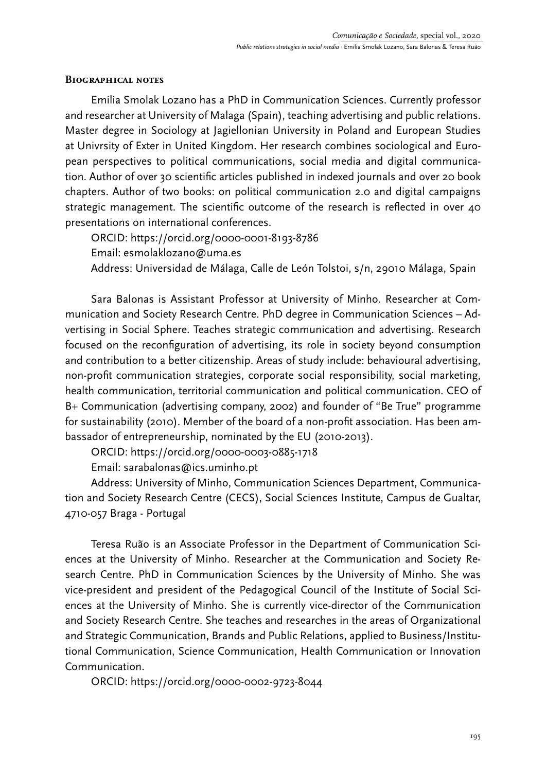## **Biographical notes**

Emilia Smolak Lozano has a PhD in Communication Sciences. Currently professor and researcher at University of Malaga (Spain), teaching advertising and public relations. Master degree in Sociology at Jagiellonian University in Poland and European Studies at Univrsity of Exter in United Kingdom. Her research combines sociological and European perspectives to political communications, social media and digital communication. Author of over 30 scientific articles published in indexed journals and over 20 book chapters. Author of two books: on political communication 2.0 and digital campaigns strategic management. The scientific outcome of the research is reflected in over 40 presentations on international conferences.

ORCID: https://orcid.org/0000-0001-8193-8786 Email: esmolaklozano@uma.es Address: Universidad de Málaga, Calle de León Tolstoi, s/n, 29010 Málaga, Spain

Sara Balonas is Assistant Professor at University of Minho. Researcher at Communication and Society Research Centre. PhD degree in Communication Sciences – Advertising in Social Sphere. Teaches strategic communication and advertising. Research focused on the reconfiguration of advertising, its role in society beyond consumption and contribution to a better citizenship. Areas of study include: behavioural advertising, non-profit communication strategies, corporate social responsibility, social marketing, health communication, territorial communication and political communication. CEO of B+ Communication (advertising company, 2002) and founder of "Be True" programme for sustainability (2010). Member of the board of a non-profit association. Has been ambassador of entrepreneurship, nominated by the EU (2010-2013).

ORCID: <https://orcid.org/0000-0003-0885-1718>

Email: [sarabalonas@ics.uminho.pt](mailto:sarabalonas@ics.uminho.pt)

Address: University of Minho, Communication Sciences Department, Communication and Society Research Centre (CECS), Social Sciences Institute, Campus de Gualtar, 4710-057 Braga - Portugal

Teresa Ruão is an Associate Professor in the Department of Communication Sciences at the University of Minho. Researcher at the Communication and Society Research Centre. PhD in Communication Sciences by the University of Minho. She was vice-president and president of the Pedagogical Council of the Institute of Social Sciences at the University of Minho. She is currently vice-director of the Communication and Society Research Centre. She teaches and researches in the areas of Organizational and Strategic Communication, Brands and Public Relations, applied to Business/Institutional Communication, Science Communication, Health Communication or Innovation Communication.

ORCID: https://orcid.org/0000-0002-9723-8044